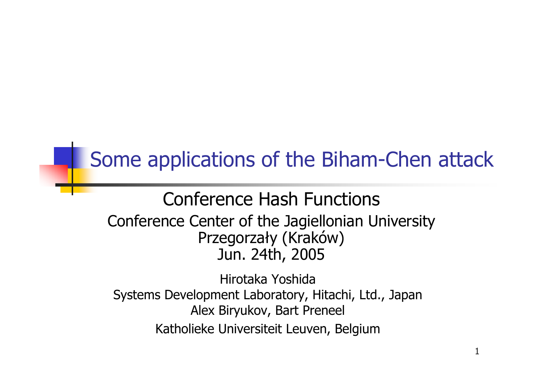#### Some applications of the Biham-Chen attack

#### Conference Hash FunctionsConference Center of the Jagiellonian University Przegorzały (Kraków) Jun. 24th, 2005

Hirotaka Yoshida Systems Development Laboratory, Hitachi, Ltd., Japan Alex Biryukov, Bart Preneel Katholieke Universiteit Leuven, Belgium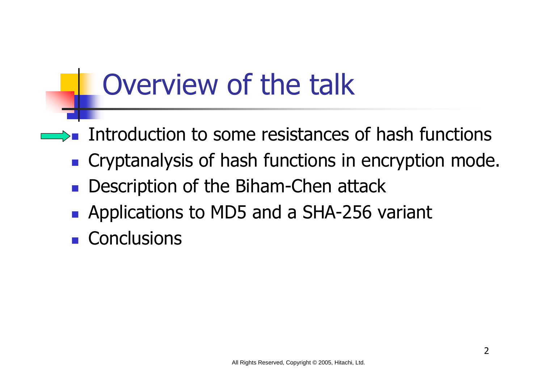## Overview of the talk

- **Introduction to some resistances of hash functions**
- **Cryptanalysis of hash functions in encryption mode.**
- $\mathbb{R}^n$ Description of the Biham-Chen attack
- **Applications to MD5 and a SHA-256 variant**
- $\mathbb{R}^n$ **Conclusions**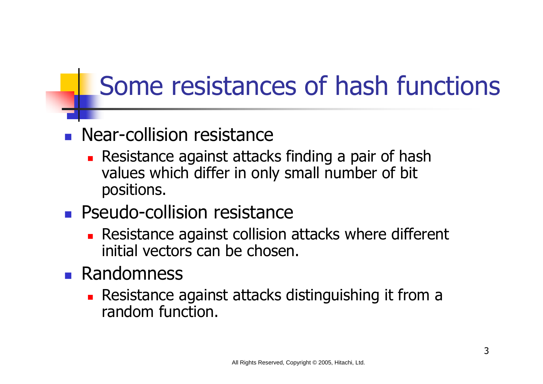### Some resistances of hash functions

#### **Near-collision resistance**

**Resistance against attacks finding a pair of hash** values which differ in only small number of bit positions.

#### **Pseudo-collision resistance**

**Resistance against collision attacks where different** initial vectors can be chosen.

#### **Randomness**

**Resistance against attacks distinguishing it from a** random function.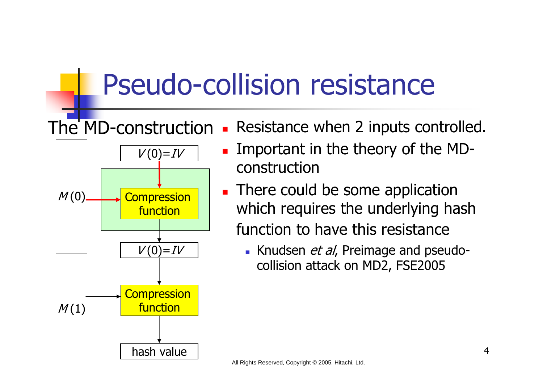### Pseudo-collision resistance

#### × Resistance when 2 inputs controlled. The MD-construction



- $\blacksquare$  Important in the theory of the MDconstruction
- **There could be some application** which requires the underlying hash function to have this resistance
	- Knudsen et al, Preimage and pseudocollision attack on MD2, FSE2005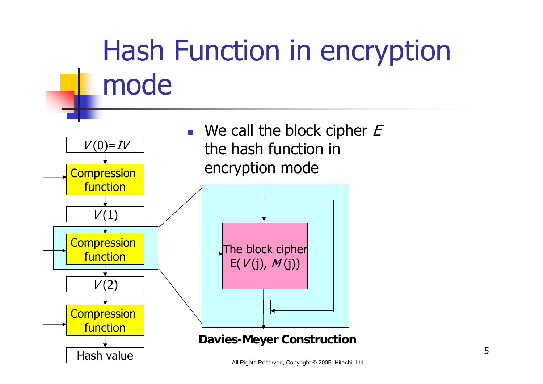# Hash Function in encryption mode

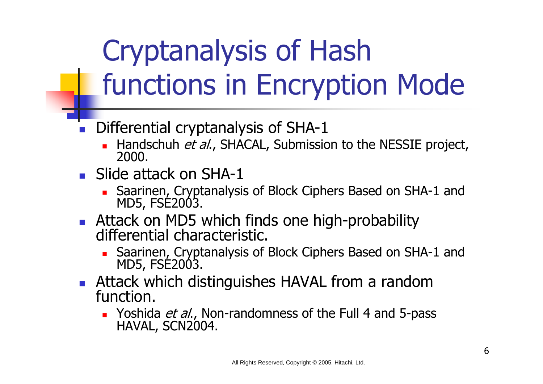# Cryptanalysis of Hash functions in Encryption Mode

- $\overline{\phantom{a}}$  Differential cryptanalysis of SHA-1
	- **Handschuh et al., SHACAL, Submission to the NESSIE project,** 2000.
- **Slide attack on SHA-1** 
	- Saarinen, Cryptanalysis of Block Ciphers Based on SHA-1 and MD5, FSE2003.
- $\overline{\phantom{a}}$  Attack on MD5 which finds one high-probability differential characteristic.
	- Saarinen, Cryptanalysis of Block Ciphers Based on SHA-1 and MD5, FSE2003.
- F Attack which distinguishes HAVAL from a random function.
	- **Noshida** *et al.***, Non-randomness of the Full 4 and 5-pass** HAVAL, SCN2004.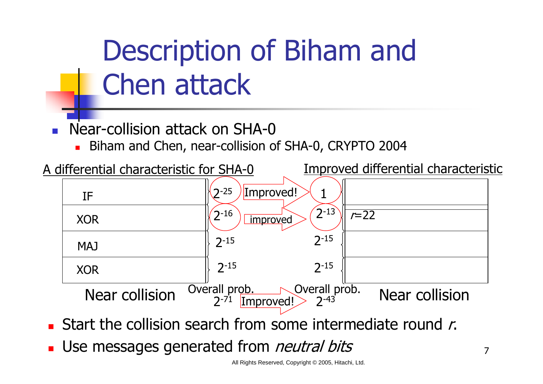# Description of Biham and Chen attack

 $\overline{\phantom{a}}$ Near-collision attack on SHA-0

Biham and Chen, near-collision of SHA-0, CRYPTO 2004



- **Start the collision search from some intermediate round r.**
- × Use messages generated from *neutral bits*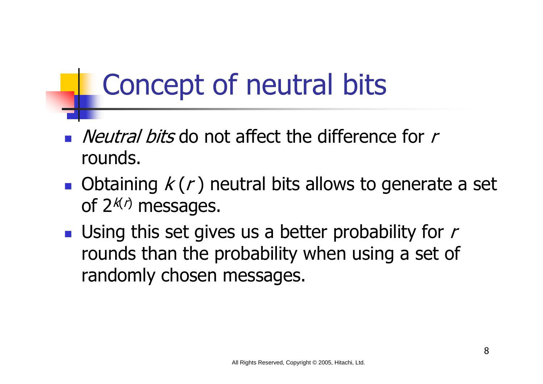## Concept of neutral bits

- $\blacksquare$  *Neutral bits* do not affect the difference for r rounds.
- Obtaining  $k(r)$  neutral bits allows to generate a set of  $2^{k/2}$  messages.
- **Using this set gives us a better probability for**  $r$ rounds than the probability when using a set of randomly chosen messages.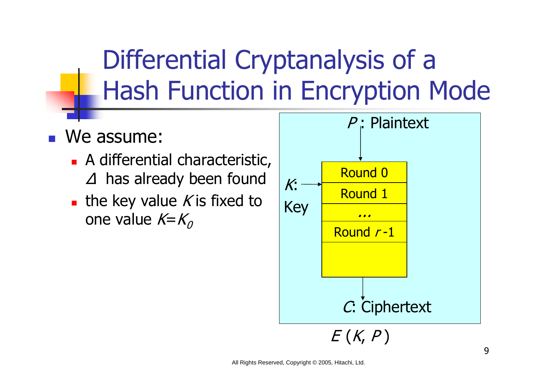## Differential Cryptanalysis of a Hash Function in Encryption Mode

#### F We assume:

- **A** differential characteristic, has already been found
- **the key value K is fixed to** one value  $K=K_0$

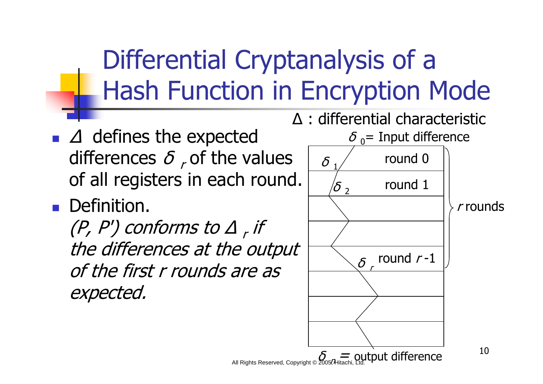## Differential Cryptanalysis of a Hash Function in Encryption Mode

- defines the expected differences  $\gamma$  of the values of all registers in each round.
- **Definition.**

F

(P, P') conforms to  $r$  if the differences at the output of the first r rounds are as expected.



All Rights Reserved, Copyright © 2005, Hitachi, Ltd.  ${\epsilon}$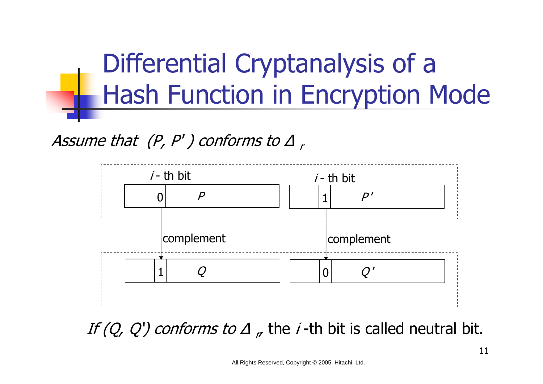

#### Assume that  $(P, P')$  conforms to



If  $(Q, Q')$  conforms to  $r$ , the *i*-th bit is called neutral bit.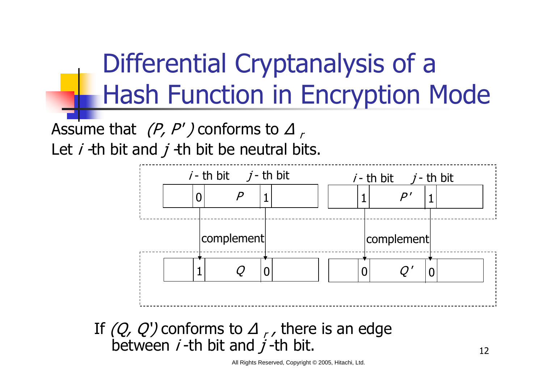## Differential Cryptanalysis of a Hash Function in Encryption Mode

Assume that  $(P, P')$  conforms to Let  $i$  -th bit and  $j$  -th bit be neutral bits.



#### If  $(Q, Q')$  conforms to  $\lambda$ , there is an edge between *i*-th bit and *j*-th bit.

All Rights Reserved, Copyright © 2005, Hitachi, Ltd.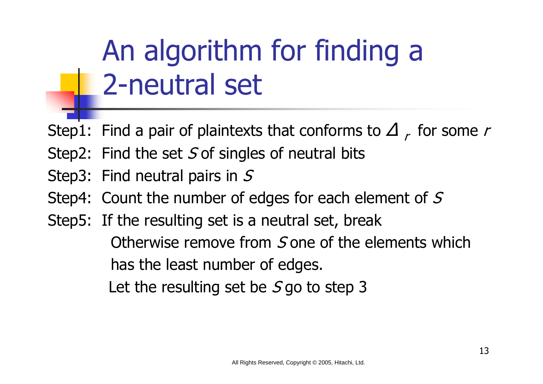# An algorithm for finding a 2-neutral set

- Step1: Find a pair of plaintexts that conforms to  $r \rightarrow r$  for some  $r$
- Step2: Find the set  $S$  of singles of neutral bits
- Step3: Find neutral pairs in S
- Step4: Count the number of edges for each element of S
- Step5: If the resulting set is a neutral set, break Otherwise remove from  $S$  one of the elements which has the least number of edges. Let the resulting set be  $S$  go to step 3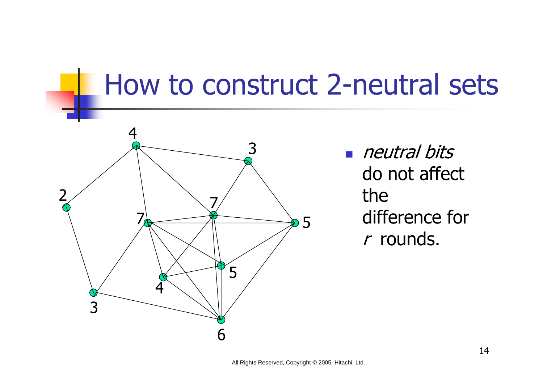

neutral bits do not affect the difference for r rounds.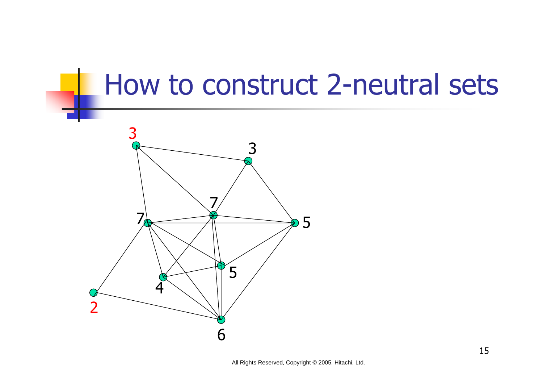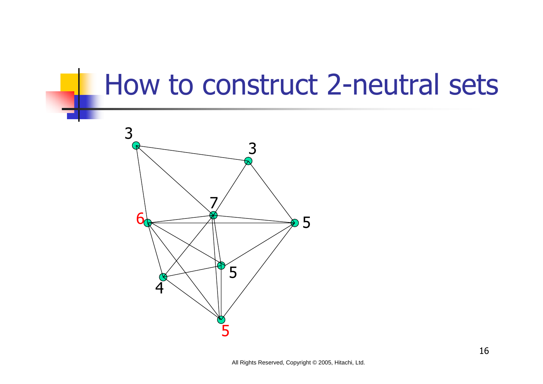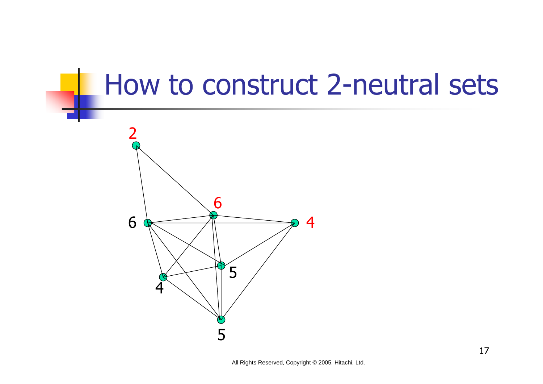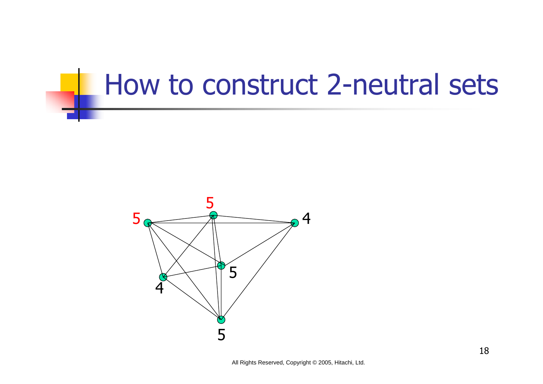

All Rights Reserved, Copyright © 2005, Hitachi, Ltd.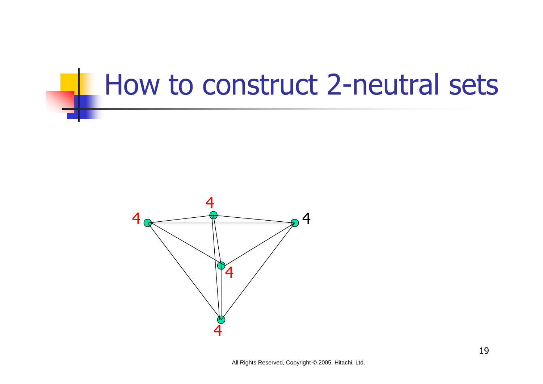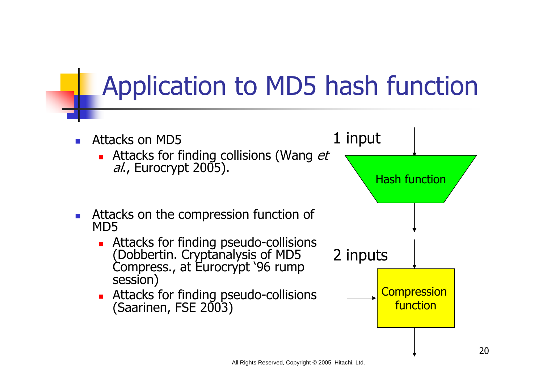### Application to MD5 hash function

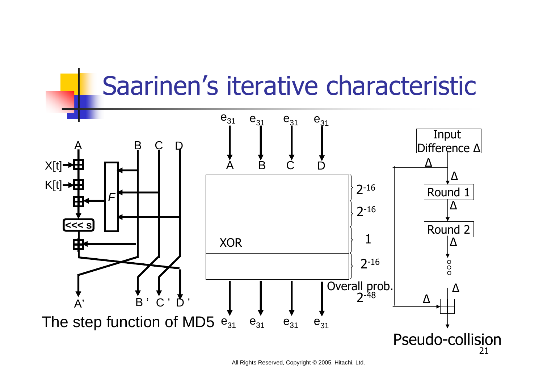#### Saarinen's iterative characteristic

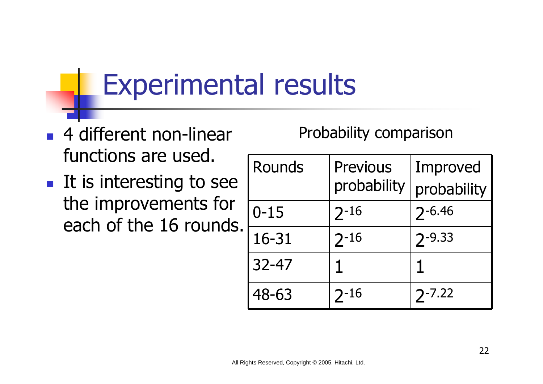## Experimental results

- 4 different non-linear functions are used.
- $\blacksquare$  It is interesting to see the improvements for each of the 16 rounds.

#### Probability comparison

| Rounds    | <b>Previous</b><br>probability | Improved<br>probability |
|-----------|--------------------------------|-------------------------|
| $0 - 15$  | $2 - 16$                       | $2 - 6.46$              |
| 16-31     | $2 - 16$                       | $2 - 9.33$              |
| $32 - 47$ | 1                              | 1                       |
| 48-63     | $2 - 16$                       | $7 - 7.22$              |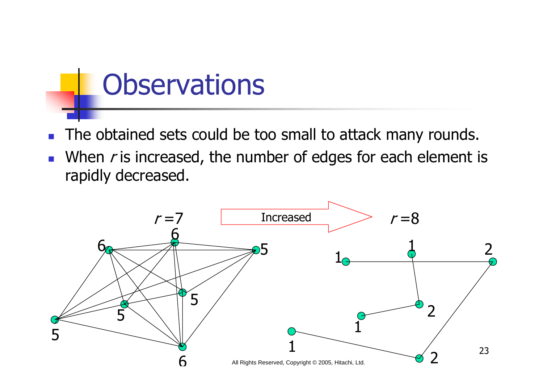### **Observations**

- $\overline{\phantom{a}}$ The obtained sets could be too small to attack many rounds.
- When  $r$  is increased, the number of edges for each element is rapidly decreased.

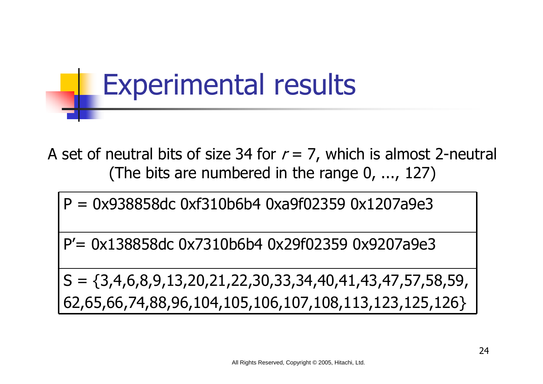## Experimental results

A set of neutral bits of size 34 for  $r = 7$ , which is almost 2-neutral (The bits are numbered in the range 0, ..., 127)

P = 0x938858dc 0xf310b6b4 0xa9f02359 0x1207a9e3

P'= 0x138858dc 0x7310b6b4 0x29f02359 0x9207a9e3

 $S = \{3,4,6,8,9,13,20,21,22,30,33,34,40,41,43,47,57,58,59,$ 62,65,66,74,88,96,104,105,106,107,108,113,123,125,126}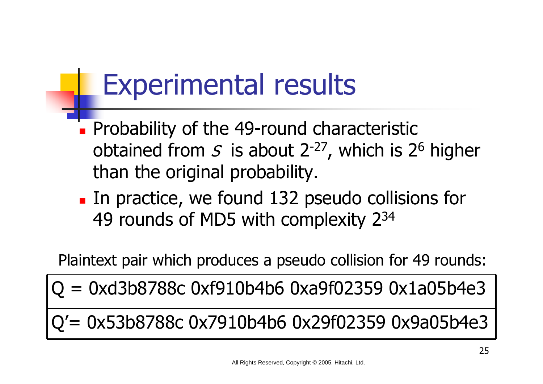## Experimental results

- **Probability of the 49-round characteristic** obtained from  $S$  is about 2<sup>-27</sup>, which is 2<sup>6</sup> higher than the original probability.
- **IF 10 11 132 pseudo collisions for 11** 49 rounds of MD5 with complexity 234

Plaintext pair which produces a pseudo collision for 49 rounds:

 $Q = 0$ xd3b8788c 0xf910b4b6 0xa9f02359 0x1a05b4e3

Q'= 0x53b8788c 0x7910b4b6 0x29f02359 0x9a05b4e3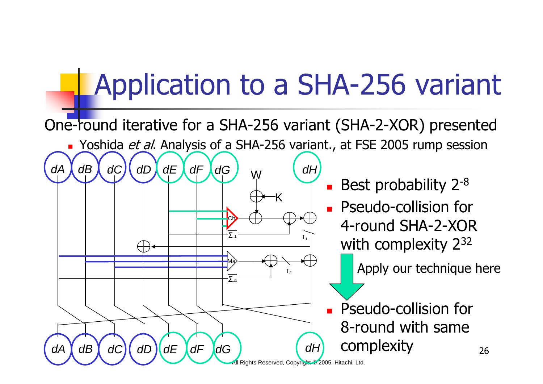## Application to a SHA-256 variant

×

*dH*

 $T<sub>4</sub>$ 

 $T<sub>2</sub>$ 

×

×

One-round iterative for a SHA-256 variant (SHA-2-XOR) presented

W

Ch

*dF dG*

*dD dE dF dG*

1

0

Ma

*dC*

*dB dEdD*

*dA*

*dA*

*dB dC*

**DATA:** Yoshida *et al*. Analysis of a SHA-256 variant., at FSE 2005 rump session

 $-K$ 

 Best probability 2-8 Pseudo-collision for 4-round SHA-2-XOR with complexity 232

Apply our technique here

 Pseudo-collision for 8-round with same complexity

*dH*